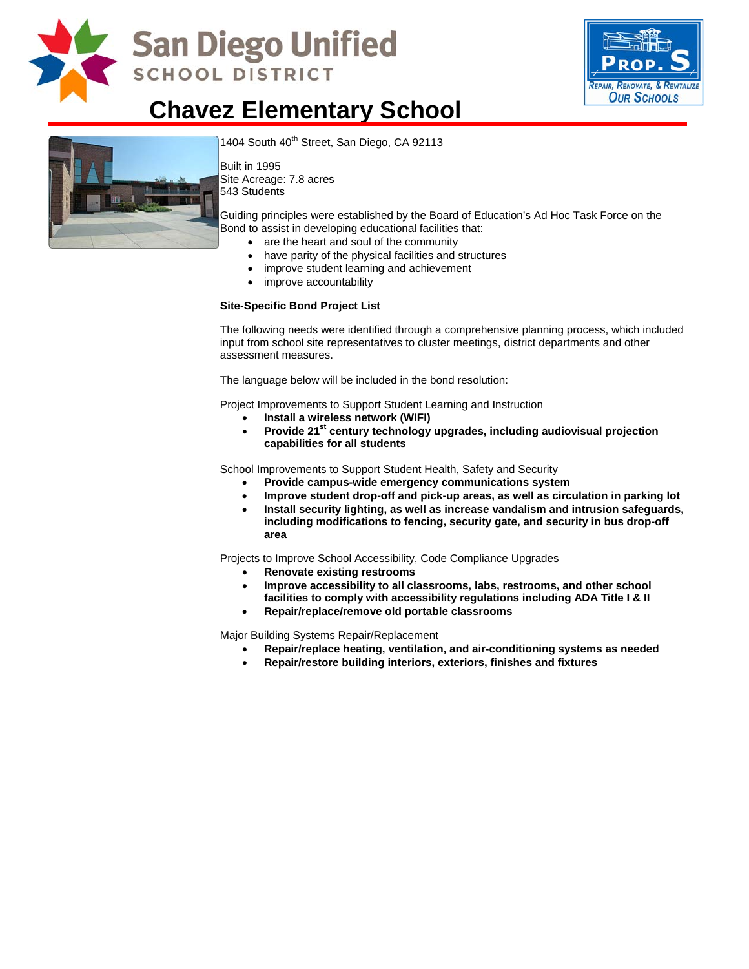

# **San Diego Unified SCHOOL DISTRICT**



### **Chavez Elementary School**



1404 South 40<sup>th</sup> Street, San Diego, CA 92113

Built in 1995 Site Acreage: 7.8 acres 543 Students

Guiding principles were established by the Board of Education's Ad Hoc Task Force on the Bond to assist in developing educational facilities that:

- are the heart and soul of the community
- have parity of the physical facilities and structures
- improve student learning and achievement
- improve accountability

#### **Site-Specific Bond Project List**

The following needs were identified through a comprehensive planning process, which included input from school site representatives to cluster meetings, district departments and other assessment measures.

The language below will be included in the bond resolution:

Project Improvements to Support Student Learning and Instruction

- **Install a wireless network (WIFI)**
- Provide 21<sup>st</sup> century technology upgrades, including audiovisual projection **capabilities for all students**

School Improvements to Support Student Health, Safety and Security

- **Provide campus-wide emergency communications system**
- **Improve student drop-off and pick-up areas, as well as circulation in parking lot**
- **Install security lighting, as well as increase vandalism and intrusion safeguards, including modifications to fencing, security gate, and security in bus drop-off area**

Projects to Improve School Accessibility, Code Compliance Upgrades

- **Renovate existing restrooms**
- **Improve accessibility to all classrooms, labs, restrooms, and other school facilities to comply with accessibility regulations including ADA Title I & II**
- **Repair/replace/remove old portable classrooms**

Major Building Systems Repair/Replacement

- **Repair/replace heating, ventilation, and air-conditioning systems as needed**
- **Repair/restore building interiors, exteriors, finishes and fixtures**